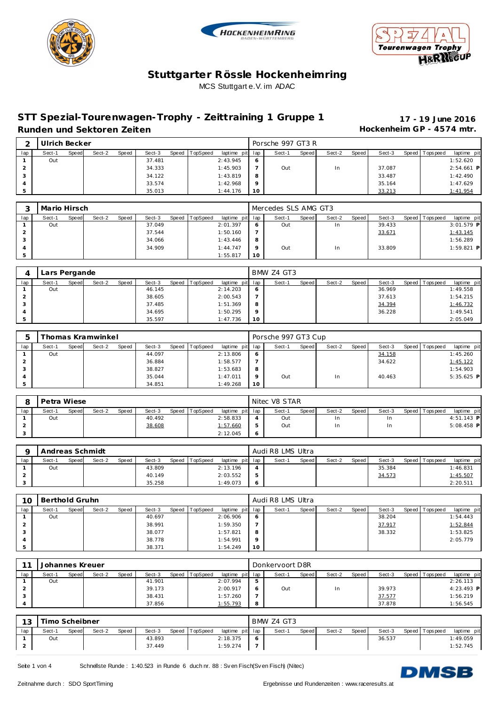





# **STT Spezial-Tourenwagen-Trophy - Zeittraining 1 Gruppe 1 17 - 19 June 2016** Runden und Sektoren Zeiten **Munden und Sektoren Zeiten Hockenheim GP** - 4574 mtr.

| ⌒   | Ulrich Becker |       |        |       |        |       |          |                 |         | Porsche 997 GT3 R |       |           |       |        |                 |              |
|-----|---------------|-------|--------|-------|--------|-------|----------|-----------------|---------|-------------------|-------|-----------|-------|--------|-----------------|--------------|
| lap | Sect-1        | Speed | Sect-2 | Speed | Sect-3 | Speed | TopSpeed | laptime pit lap |         | Sect-1            | Speed | Sect-2    | Speed | Sect-3 | Speed Tops peed | laptime pit  |
|     | Out           |       |        |       | 37.481 |       |          | 2:43.945        | 6       |                   |       |           |       |        |                 | 1:52.620     |
|     |               |       |        |       | 34.333 |       |          | 1:45.903        |         | Out               |       | <b>In</b> |       | 37.087 |                 | $2:54.661$ P |
| - 0 |               |       |        |       | 34.122 |       |          | 1:43.819        | 8       |                   |       |           |       | 33.487 |                 | 1:42.490     |
|     |               |       |        |       | 33.574 |       |          | 1:42.968        | $\circ$ |                   |       |           |       | 35.164 |                 | 1:47.629     |
|     |               |       |        |       | 35.013 |       |          | 1:44.176        | 10      |                   |       |           |       | 33.213 |                 | 1:41.954     |

| ⌒   | Mario Hirsch |       |        |       |        |                |                 |         | Mercedes SLS AMG GT3 |       |        |       |        |                 |              |
|-----|--------------|-------|--------|-------|--------|----------------|-----------------|---------|----------------------|-------|--------|-------|--------|-----------------|--------------|
| lap | Sect-1       | Speed | Sect-2 | Speed | Sect-3 | Speed TopSpeed | laptime pit lap |         | Sect-1               | Speed | Sect-2 | Speed | Sect-3 | Speed Tops peed | laptime pit  |
|     | Out          |       |        |       | 37.049 |                | 2:01.397        |         | Out                  |       | In     |       | 39.433 |                 | $3:01.579$ P |
|     |              |       |        |       | 37.544 |                | 1:50.160        |         |                      |       |        |       | 33.671 |                 | 1:43.145     |
|     |              |       |        |       | 34.066 |                | 1:43.446        | 8       |                      |       |        |       |        |                 | 1:56.289     |
|     |              |       |        |       | 34.909 |                | 1:44.747        | $\circ$ | Out                  |       | In     |       | 33.809 |                 | $1:59.821$ P |
|     |              |       |        |       |        |                | 1:55.817        | 10      |                      |       |        |       |        |                 |              |

|     | Lars Pergande |       |        |       |        |       |          |                 |           | BMW Z4 GT3 |       |        |       |        |                 |             |
|-----|---------------|-------|--------|-------|--------|-------|----------|-----------------|-----------|------------|-------|--------|-------|--------|-----------------|-------------|
| lap | Sect-1        | Speed | Sect-2 | Speed | Sect-3 | Speed | TopSpeed | laptime pit lap |           | Sect-1     | Speed | Sect-2 | Speed | Sect-3 | Speed Tops peed | laptime pit |
|     | Out           |       |        |       | 46.145 |       |          | 2:14.203        | $\circ$   |            |       |        |       | 36.969 |                 | 1:49.558    |
|     |               |       |        |       | 38.605 |       |          | 2:00.543        |           |            |       |        |       | 37.613 |                 | 1:54.215    |
| - 0 |               |       |        |       | 37.485 |       |          | 1:51.369        | 8         |            |       |        |       | 34.394 |                 | 1:46.732    |
|     |               |       |        |       | 34.695 |       |          | 1:50.295        | $\circ$   |            |       |        |       | 36.228 |                 | 1:49.541    |
|     |               |       |        |       | 35.597 |       |          | 1:47.736        | <b>10</b> |            |       |        |       |        |                 | 2:05.049    |

| 5   |        |       | Thomas Kramwinkel |       |        |       |          |                 |         | Porsche 997 GT3 Cup |       |        |       |        |                |              |
|-----|--------|-------|-------------------|-------|--------|-------|----------|-----------------|---------|---------------------|-------|--------|-------|--------|----------------|--------------|
| lap | Sect-1 | Speed | Sect-2            | Speed | Sect-3 | Speed | TopSpeed | laptime pit lap |         | Sect-1              | Speed | Sect-2 | Speed | Sect-3 | Speed Topspeed | laptime pit  |
|     | Out    |       |                   |       | 44.097 |       |          | 2:13.806        | $\circ$ |                     |       |        |       | 34.158 |                | 1:45.260     |
|     |        |       |                   |       | 36.884 |       |          | 1:58.577        |         |                     |       |        |       | 34.622 |                | 1:45.122     |
|     |        |       |                   |       | 38.827 |       |          | 1:53.683        | 8       |                     |       |        |       |        |                | 1:54.903     |
|     |        |       |                   |       | 35.044 |       |          | 1:47.011        |         | Out                 |       | In     |       | 40.463 |                | $5:35.625$ P |
|     |        |       |                   |       | 34.851 |       |          | 1:49.268        | 10      |                     |       |        |       |        |                |              |

| O   | Petra Wiese |       |        |       |        |                |                 |    | Nitec V8 STAR |        |        |       |        |                   |              |  |
|-----|-------------|-------|--------|-------|--------|----------------|-----------------|----|---------------|--------|--------|-------|--------|-------------------|--------------|--|
| lap | Sect-1      | Speed | Sect-2 | Speed | Sect-3 | Speed TopSpeed | laptime pit lap |    | Sect-1        | Speed. | Sect-2 | Speed | Sect-3 | Speed   Tops peed | laptime pit  |  |
|     | Out         |       |        |       | 40.492 |                | 2:58.833        |    | Out           |        | In     |       | In     |                   | $4:51.143$ P |  |
|     |             |       |        |       | 38.608 |                | 1:57.660        | 5  | Out           |        | In     |       | In     |                   | $5:08.458$ P |  |
|     |             |       |        |       |        |                | 2:12.045        | -6 |               |        |        |       |        |                   |              |  |

| O   |        |       | Andreas Schmidt |       |        |       |          |                 | Audi R8 LMS Ultra |       |        |       |        |                 |             |
|-----|--------|-------|-----------------|-------|--------|-------|----------|-----------------|-------------------|-------|--------|-------|--------|-----------------|-------------|
| lap | Sect-1 | Speed | Sect-2          | Speed | Sect-3 | Speed | TopSpeed | laptime pit lap | Sect-1            | Speed | Sect-2 | Speed | Sect-3 | Speed Tops peed | laptime pit |
|     | Out    |       |                 |       | 43.809 |       |          | 2:13.196        |                   |       |        |       | 35.384 |                 | 1:46.831    |
|     |        |       |                 |       | 40.149 |       |          | 2:03.552        |                   |       |        |       | 34.573 |                 | 1:45.507    |
|     |        |       |                 |       | 35.258 |       |          | 1:49.073        |                   |       |        |       |        |                 | 2:20.511    |

| 10  | Berthold Gruhn |       |        |       |        |       |          |                 |         | Audi R8 LMS Ultra |       |        |       |        |                 |             |
|-----|----------------|-------|--------|-------|--------|-------|----------|-----------------|---------|-------------------|-------|--------|-------|--------|-----------------|-------------|
| lap | Sect-1         | Speed | Sect-2 | Speed | Sect-3 | Speed | TopSpeed | laptime pit lap |         | Sect-1            | Speed | Sect-2 | Speed | Sect-3 | Speed Tops peed | laptime pit |
|     | Out            |       |        |       | 40.697 |       |          | 2:06.906        | $\circ$ |                   |       |        |       | 38.204 |                 | 1:54.443    |
|     |                |       |        |       | 38.991 |       |          | 1:59.350        |         |                   |       |        |       | 37.917 |                 | 1:52.844    |
|     |                |       |        |       | 38.077 |       |          | 1:57.821        | 8       |                   |       |        |       | 38.332 |                 | 1:53.825    |
|     |                |       |        |       | 38.778 |       |          | 1:54.991        | $\circ$ |                   |       |        |       |        |                 | 2:05.779    |
|     |                |       |        |       | 38.371 |       |          | 1:54.249        | 10      |                   |       |        |       |        |                 |             |

| 11  | Johannes Kreuer |       |        |       |        |                |                 |   | Donkervoort D8R |       |        |       |        |                 |              |
|-----|-----------------|-------|--------|-------|--------|----------------|-----------------|---|-----------------|-------|--------|-------|--------|-----------------|--------------|
| lap | Sect-1          | Speed | Sect-2 | Speed | Sect-3 | Speed TopSpeed | laptime pit lap |   | Sect-1          | Speed | Sect-2 | Speed | Sect-3 | Speed Tops peed | laptime pit  |
|     | Out             |       |        |       | 41.901 |                | 2:07.994        | 5 |                 |       |        |       |        |                 | 2:26.113     |
|     |                 |       |        |       | 39.173 |                | 2:00.917        |   | Out             |       | In     |       | 39.973 |                 | $4:23.493$ P |
| - 3 |                 |       |        |       | 38.431 |                | 1:57.260        |   |                 |       |        |       | 37.577 |                 | 1:56.219     |
|     |                 |       |        |       | 37.856 |                | 1:55.793        | 8 |                 |       |        |       | 37.878 |                 | 1:56.545     |

| $\Omega$<br>- 2 |        | Timo Scheibner |        |       |        |       |          |                 |              | BMW Z4 GT3 |       |        |       |        |                 |             |
|-----------------|--------|----------------|--------|-------|--------|-------|----------|-----------------|--------------|------------|-------|--------|-------|--------|-----------------|-------------|
| lap             | Sect-1 | Speed          | Sect-2 | Speed | Sect-3 | Speed | TopSpeed | laptime pit lap |              | Sect-1     | Speed | Sect-2 | Speed | Sect-3 | Speed Tops peed | laptime pit |
|                 | Out    |                |        |       | 43.893 |       |          | 2:18.375        | <sub>0</sub> |            |       |        |       | 36.537 |                 | 1:49.059    |
|                 |        |                |        |       | 37.449 |       |          | 1:59.274        |              |            |       |        |       |        |                 | 1:52.745    |

Seite 1 von 4 Schnellste Runde : 1:40.523 in Runde 6 duch nr. 88 : Sv en Fisch(Sv en Fisch) (Nitec)

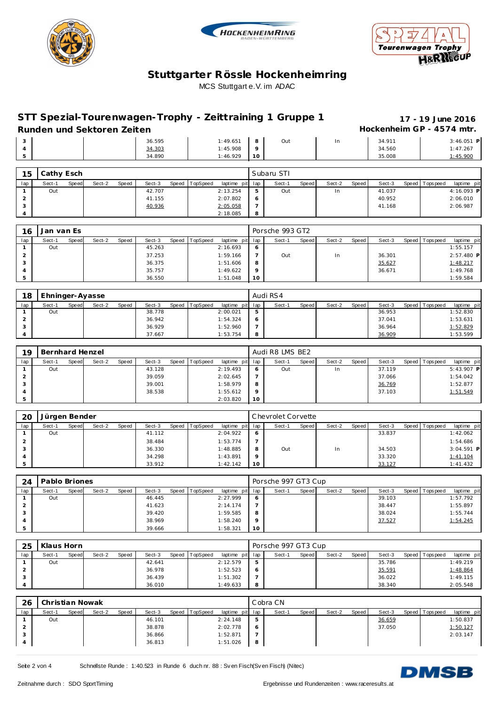





# **STT Spezial-Tourenwagen-Trophy - Zeittraining 1 Gruppe 1 17 - 19 June 2016**

Runden und Sektoren Zeiten **Munden und Sektoren Zeiten Hockenheim GP** - 4574 mtr.

|  | 36.595 | 1:49.651 | $\circ$<br>. . | Out | In | 34.911 | $3:46.051$ P |
|--|--------|----------|----------------|-----|----|--------|--------------|
|  | 34.303 | 1:45.908 | $\sim$         |     |    | 34.560 | 1:47.267     |
|  | 34.890 | 1:46.929 | 10             |     |    | 35.008 | 1:45.90C     |

| 15                       | Cathy Esch |       |        |       |        |                |                 |   | Subaru STI |       |        |       |        |                 |             |
|--------------------------|------------|-------|--------|-------|--------|----------------|-----------------|---|------------|-------|--------|-------|--------|-----------------|-------------|
| lap                      | Sect-1     | Speed | Sect-2 | Speed | Sect-3 | Speed TopSpeed | laptime pit lap |   | Sect-1     | Speed | Sect-2 | Speed | Sect-3 | Speed Tops peed | laptime pit |
|                          | Out        |       |        |       | 42.707 |                | 2:13.254        |   | Out        |       | 1n     |       | 41.037 |                 | 4:16.093 P  |
| $\overline{\phantom{a}}$ |            |       |        |       | 41.155 |                | 2:07.802        |   |            |       |        |       | 40.952 |                 | 2:06.010    |
|                          |            |       |        |       | 40.936 |                | 2:05.058        |   |            |       |        |       | 41.168 |                 | 2:06.987    |
|                          |            |       |        |       |        |                | 2:18.085        | 8 |            |       |        |       |        |                 |             |

| 16  | Jan van Es |       |        |       |        |       |          |                 |         | Porsche 993 GT2 |       |        |       |        |                |              |
|-----|------------|-------|--------|-------|--------|-------|----------|-----------------|---------|-----------------|-------|--------|-------|--------|----------------|--------------|
| lap | Sect-1     | Speed | Sect-2 | Speed | Sect-3 | Speed | TopSpeed | laptime pit lap |         | Sect-1          | Speed | Sect-2 | Speed | Sect-3 | Speed Topspeed | laptime pit  |
|     | Out        |       |        |       | 45.263 |       |          | 2:16.693        | $\circ$ |                 |       |        |       |        |                | 1:55.157     |
|     |            |       |        |       | 37.253 |       |          | 1:59.166        |         | Out             |       | In     |       | 36.301 |                | $2:57.480$ P |
|     |            |       |        |       | 36.375 |       |          | 1:51.606        | 8       |                 |       |        |       | 35.627 |                | 1:48.217     |
|     |            |       |        |       | 35.757 |       |          | 1:49.622        | $\circ$ |                 |       |        |       | 36.671 |                | 1:49.768     |
|     |            |       |        |       | 36.550 |       |          | 1:51.048        | 10      |                 |       |        |       |        |                | 1:59.584     |

| 18  | Ehninger-Ayasse<br>TopSpeed<br>Sect-2<br>Speed<br>Speed<br>Sect-3<br>Sect-1<br>Speed  <br>38.778<br>Out |  |  |  |        |  |  |                 |                | Audi RS4 |       |        |       |        |                 |             |
|-----|---------------------------------------------------------------------------------------------------------|--|--|--|--------|--|--|-----------------|----------------|----------|-------|--------|-------|--------|-----------------|-------------|
| lap |                                                                                                         |  |  |  |        |  |  | laptime pit lap |                | Sect-1   | Speed | Sect-2 | Speed | Sect-3 | Speed Tops peed | laptime pit |
|     |                                                                                                         |  |  |  |        |  |  | 2:00.021        | $\overline{5}$ |          |       |        |       | 36.953 |                 | 1:52.830    |
| ∠   |                                                                                                         |  |  |  | 36.942 |  |  | 1:54.324        | $\circ$        |          |       |        |       | 37.041 |                 | 1:53.631    |
| ు   |                                                                                                         |  |  |  | 36.929 |  |  | 1:52.960        |                |          |       |        |       | 36.964 |                 | 1:52.829    |
|     |                                                                                                         |  |  |  | 37.667 |  |  | 1:53.754        | 8              |          |       |        |       | 36.909 |                 | 1:53.599    |

| 19  | Bernhard Henzel |       |        |       |        |                |                 |          | Audi R8 LMS BE2 |       |        |       |        |                 |             |
|-----|-----------------|-------|--------|-------|--------|----------------|-----------------|----------|-----------------|-------|--------|-------|--------|-----------------|-------------|
| lap | Sect-1          | Speed | Sect-2 | Speed | Sect-3 | Speed TopSpeed | laptime pit lap |          | Sect-1          | Speed | Sect-2 | Speed | Sect-3 | Speed Tops peed | laptime pit |
|     | Out             |       |        |       | 43.128 |                | 2:19.493        |          | Out             |       | In     |       | 37.119 |                 | 5:43.907 P  |
|     |                 |       |        |       | 39.059 |                | 2:02.645        |          |                 |       |        |       | 37.066 |                 | 1:54.042    |
|     |                 |       |        |       | 39.001 |                | 1:58.979        | 8        |                 |       |        |       | 36.769 |                 | 1:52.877    |
|     |                 |       |        |       | 38.538 |                | 1:55.612        | $\Omega$ |                 |       |        |       | 37.103 |                 | 1:51.549    |
|     |                 |       |        |       |        |                | 2:03.820        | 10       |                 |       |        |       |        |                 |             |

| 20  | Jürgen Bender |       |        |       |        |       |          |                 |         | Chevrolet Corvette |       |        |       |        |                 |              |
|-----|---------------|-------|--------|-------|--------|-------|----------|-----------------|---------|--------------------|-------|--------|-------|--------|-----------------|--------------|
| lap | Sect-1        | Speed | Sect-2 | Speed | Sect-3 | Speed | TopSpeed | laptime pit lap |         | Sect-1             | Speed | Sect-2 | Speed | Sect-3 | Speed Tops peed | laptime pit  |
|     | Out           |       |        |       | 41.112 |       |          | 2:04.922        | $\circ$ |                    |       |        |       | 33.837 |                 | 1:42.062     |
|     |               |       |        |       | 38.484 |       |          | 1:53.774        |         |                    |       |        |       |        |                 | 1:54.686     |
|     |               |       |        |       | 36.330 |       |          | 1:48.885        | 8       | Out                |       | In.    |       | 34.503 |                 | $3:04.591$ P |
|     |               |       |        |       | 34.298 |       |          | 1:43.891        | $\circ$ |                    |       |        |       | 33.320 |                 | 1:41.104     |
|     |               |       |        |       | 33.912 |       |          | 1:42.142        | 10      |                    |       |        |       | 33.127 |                 | 1:41.432     |

| 24  | Pablo Briones |       |        |       |        |       |          |                 |         | Porsche 997 GT3 Cup |       |        |       |        |                 |             |
|-----|---------------|-------|--------|-------|--------|-------|----------|-----------------|---------|---------------------|-------|--------|-------|--------|-----------------|-------------|
| lap | Sect-1        | Speed | Sect-2 | Speed | Sect-3 | Speed | TopSpeed | laptime pit lap |         | Sect-1              | Speed | Sect-2 | Speed | Sect-3 | Speed Tops peed | laptime pit |
|     | Out           |       |        |       | 46.445 |       |          | 2:27.999        | -6      |                     |       |        |       | 39.103 |                 | 1:57.792    |
|     |               |       |        |       | 41.623 |       |          | 2:14.174        |         |                     |       |        |       | 38.447 |                 | 1:55.897    |
| 3   |               |       |        |       | 39.420 |       |          | 1:59.585        | 8       |                     |       |        |       | 38.024 |                 | 1:55.744    |
|     |               |       |        |       | 38.969 |       |          | 1:58.240        | $\circ$ |                     |       |        |       | 37.527 |                 | 1:54.245    |
|     |               |       |        |       | 39.666 |       |          | 1:58.321        | 10      |                     |       |        |       |        |                 |             |

| 25  | Klaus Horn |       |        |              |        |                |             |         | Porsche 997 GT3 Cup |       |        |       |        |                 |             |
|-----|------------|-------|--------|--------------|--------|----------------|-------------|---------|---------------------|-------|--------|-------|--------|-----------------|-------------|
| lap | Sect-1     | Speed | Sect-2 | <b>Speed</b> | Sect-3 | Speed TopSpeed | laptime pit | lap     | Sect-1              | Speed | Sect-2 | Speed | Sect-3 | Speed Tops peed | laptime pit |
|     | Out        |       |        |              | 42.641 |                | 2:12.579    | 5       |                     |       |        |       | 35.786 |                 | 1:49.219    |
|     |            |       |        |              | 36.978 |                | 1:52.523    | $\circ$ |                     |       |        |       | 35.591 |                 | 1:48.864    |
|     |            |       |        |              | 36.439 |                | 1:51.302    |         |                     |       |        |       | 36.022 |                 | 1:49.115    |
|     |            |       |        |              | 36.010 |                | 1:49.633    | 8       |                     |       |        |       | 38.340 |                 | 2:05.548    |

| 26  | Christian Nowak |       |        |       |        |       |          |                 |         | Cobra CN |       |        |       |        |                 |             |
|-----|-----------------|-------|--------|-------|--------|-------|----------|-----------------|---------|----------|-------|--------|-------|--------|-----------------|-------------|
| lap | Sect-1          | Speed | Sect-2 | Speed | Sect-3 | Speed | TopSpeed | laptime pit lap |         | Sect-1   | Speed | Sect-2 | Speed | Sect-3 | Speed Tops peed | laptime pit |
|     | Out             |       |        |       | 46.101 |       |          | 2:24.148        | 5       |          |       |        |       | 36.659 |                 | 1:50.837    |
| ╭   |                 |       |        |       | 38.878 |       |          | 2:02.778        | $\circ$ |          |       |        |       | 37.050 |                 | 1:50.127    |
|     |                 |       |        |       | 36.866 |       |          | 1:52.871        |         |          |       |        |       |        |                 | 2:03.147    |
|     |                 |       |        |       | 36.813 |       |          | 1:51.026        | 8       |          |       |        |       |        |                 |             |

Seite 2 von 4 Schnellste Runde : 1:40.523 in Runde 6 duch nr. 88 : Sv en Fisch(Sv en Fisch) (Nitec)

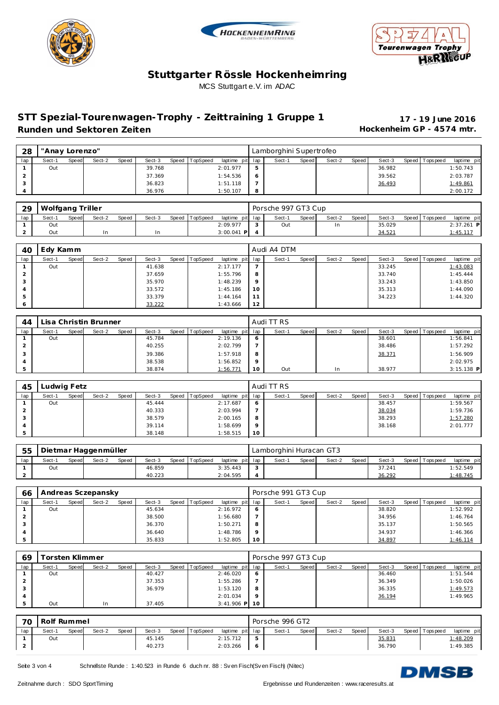





### **STT Spezial-Tourenwagen-Trophy - Zeittraining 1 Gruppe 1 17 - 19 June 2016** Runden und Sektoren Zeiten **Munden und Sektoren Zeiten Hockenheim GP** - 4574 mtr.

| 28  |        | 'Anay Lorenzo" |        |       |        |                |                 |                | Lamborghini Supertrofeo |       |        |       |        |                 |             |
|-----|--------|----------------|--------|-------|--------|----------------|-----------------|----------------|-------------------------|-------|--------|-------|--------|-----------------|-------------|
| lap | Sect-1 | Speed          | Sect-2 | Speed | Sect-3 | Speed TopSpeed | laptime pit lap |                | Sect-1                  | Speed | Sect-2 | Speed | Sect-3 | Speed Tops peed | laptime pit |
|     | Out    |                |        |       | 39.768 |                | 2:01.977        | $\overline{5}$ |                         |       |        |       | 36.982 |                 | 1:50.743    |
|     |        |                |        |       | 37.369 |                | 1:54.536        | O              |                         |       |        |       | 39.562 |                 | 2:03.787    |
|     |        |                |        |       | 36.823 |                | 1:51.118        |                |                         |       |        |       | 36.493 |                 | 1:49.861    |
|     |        |                |        |       | 36.976 |                | 1:50.107        | 8              |                         |       |        |       |        |                 | 2:00.172    |

| 29  | Wolfgang Triller |       |        |       |        |                |                 | Porsche 997 GT3 Cup |       |        |       |        |                 |              |
|-----|------------------|-------|--------|-------|--------|----------------|-----------------|---------------------|-------|--------|-------|--------|-----------------|--------------|
| lap | Sect-1           | Speed | Sect-2 | Speed | Sect-3 | Speed TopSpeed | laptime pit lap | Sect-1              | Speed | Sect-2 | Speed | Sect-3 | Speed Tops peed | laptime pit  |
|     | Out              |       |        |       |        |                | 2:09.977        | Out                 |       | In     |       | 35.029 |                 | $2:37.261$ P |
|     | Out              |       | In     |       |        |                | $3:00.041$ P    |                     |       |        |       | 34.521 |                 | 1:45.11      |

| 40             | Edy Kamm |       |        |       |        |       |          |                 |                 | Audi A4 DTM |       |        |       |        |                 |             |
|----------------|----------|-------|--------|-------|--------|-------|----------|-----------------|-----------------|-------------|-------|--------|-------|--------|-----------------|-------------|
| lap            | Sect-1   | Speed | Sect-2 | Speed | Sect-3 | Speed | TopSpeed | laptime pit lap |                 | Sect-1      | Speed | Sect-2 | Speed | Sect-3 | Speed Tops peed | laptime pit |
|                | Out      |       |        |       | 41.638 |       |          | 2:17.177        |                 |             |       |        |       | 33.245 |                 | 1:43.083    |
|                |          |       |        |       | 37.659 |       |          | 1:55.796        | 8               |             |       |        |       | 33.740 |                 | 1:45.444    |
| - 3            |          |       |        |       | 35.970 |       |          | 1:48.239        | $\circ$         |             |       |        |       | 33.243 |                 | 1:43.850    |
| $\overline{A}$ |          |       |        |       | 33.572 |       |          | 1:45.186        | 10              |             |       |        |       | 35.313 |                 | 1:44.090    |
| 5              |          |       |        |       | 33.379 |       |          | 1:44.164        | 11              |             |       |        |       | 34.223 |                 | 1:44.320    |
| O              |          |       |        |       | 33.222 |       |          | 1:43.666        | 12 <sub>1</sub> |             |       |        |       |        |                 |             |

| 44      |        |       | Lisa Christin Brunner |       |        |       |          |                 |         | Audi TT RS |       |        |       |        |                 |              |
|---------|--------|-------|-----------------------|-------|--------|-------|----------|-----------------|---------|------------|-------|--------|-------|--------|-----------------|--------------|
| lap     | Sect-1 | Speed | Sect-2                | Speed | Sect-3 | Speed | TopSpeed | laptime pit lap |         | Sect-1     | Speed | Sect-2 | Speed | Sect-3 | Speed Tops peed | laptime pit  |
|         | Out    |       |                       |       | 45.784 |       |          | 2:19.136        | $\circ$ |            |       |        |       | 38.601 |                 | 1:56.841     |
|         |        |       |                       |       | 40.255 |       |          | 2:02.799        |         |            |       |        |       | 38.486 |                 | 1:57.292     |
| $\cdot$ |        |       |                       |       | 39.386 |       |          | 1:57.918        | 8       |            |       |        |       | 38.371 |                 | 1:56.909     |
|         |        |       |                       |       | 38.538 |       |          | 1:56.852        | $\circ$ |            |       |        |       |        |                 | 2:02.975     |
|         |        |       |                       |       | 38.874 |       |          | 1:56.771        | 10      | Out        |       | In     |       | 38.977 |                 | $3:15.138$ P |

| 45  | Ludwig Fetz |       |        |       |        |                |                 |              | Audi TT RS |       |        |       |        |                 |             |
|-----|-------------|-------|--------|-------|--------|----------------|-----------------|--------------|------------|-------|--------|-------|--------|-----------------|-------------|
| lap | Sect-1      | Speed | Sect-2 | Speed | Sect-3 | Speed TopSpeed | laptime pit lap |              | Sect-1     | Speed | Sect-2 | Speed | Sect-3 | Speed Tops peed | laptime pit |
|     | Out         |       |        |       | 45.444 |                | 2:17.687        | <sup>6</sup> |            |       |        |       | 38.457 |                 | 1:59.567    |
| ∠   |             |       |        |       | 40.333 |                | 2:03.994        |              |            |       |        |       | 38.034 |                 | 1:59.736    |
|     |             |       |        |       | 38.579 |                | 2:00.165        | 8            |            |       |        |       | 38.293 |                 | 1:57.280    |
| 4   |             |       |        |       | 39.114 |                | 1:58.699        | $\Omega$     |            |       |        |       | 38.168 |                 | 2:01.777    |
|     |             |       |        |       | 38.148 |                | 1:58.515        | 10           |            |       |        |       |        |                 |             |

| 55  |        |       | Dietmar Haggenmüller |       |        |                |                 | Lamborghini Huracan GT3 |       |        |       |        |                 |             |
|-----|--------|-------|----------------------|-------|--------|----------------|-----------------|-------------------------|-------|--------|-------|--------|-----------------|-------------|
| lap | Sect-1 | Speed | Sect-2               | Speed | Sect-3 | Speed TopSpeed | laptime pit lap | Sect-1                  | Speed | Sect-2 | Speed | Sect-3 | Speed Tops peed | laptime pit |
|     | Out    |       |                      |       | 46.859 |                | 3:35.443        |                         |       |        |       | 37.241 |                 | 1:52.549    |
|     |        |       |                      |       | 40.223 |                | 2:04.595        |                         |       |        |       | 36.292 |                 | 1:48.745    |

| 66  |        |       | Andreas Sczepansky |       |        |       |          |                 | Porsche 991 GT3 Cup |        |         |        |       |        |  |                 |             |  |
|-----|--------|-------|--------------------|-------|--------|-------|----------|-----------------|---------------------|--------|---------|--------|-------|--------|--|-----------------|-------------|--|
| lap | Sect-1 | Speed | Sect-2             | Speed | Sect-3 | Speed | TopSpeed | laptime pit lap |                     | Sect-1 | Speed ! | Sect-2 | Speed | Sect-3 |  | Speed Tops peed | laptime pit |  |
|     | Out    |       |                    |       | 45.634 |       |          | 2:16.972        | <sup>6</sup>        |        |         |        |       | 38.820 |  |                 | 1:52.992    |  |
|     |        |       |                    |       | 38.500 |       |          | 1:56.680        |                     |        |         |        |       | 34.956 |  |                 | 1:46.764    |  |
| - 0 |        |       |                    |       | 36.370 |       |          | 1:50.271        | 8                   |        |         |        |       | 35.137 |  |                 | 1:50.565    |  |
|     |        |       |                    |       | 36.640 |       |          | 1:48.786        | $\circ$             |        |         |        |       | 34.937 |  |                 | 1:46.366    |  |
|     |        |       |                    |       | 35.833 |       |          | 1:52.805        | 10                  |        |         |        |       | 34.897 |  |                 | 1:46.114    |  |

| 69  |        | Torsten Klimmer |        |       |        |       |          |                 |         |        | Porsche 997 GT3 Cup |        |       |        |  |                 |             |  |  |  |
|-----|--------|-----------------|--------|-------|--------|-------|----------|-----------------|---------|--------|---------------------|--------|-------|--------|--|-----------------|-------------|--|--|--|
| lap | Sect-1 | Speed           | Sect-2 | Speed | Sect-3 | Speed | TopSpeed | laptime pit lap |         | Sect-1 | Speed               | Sect-2 | Speed | Sect-3 |  | Speed Tops peed | laptime pit |  |  |  |
|     | Out    |                 |        |       | 40.427 |       |          | 2:46.020        | O       |        |                     |        |       | 36.460 |  |                 | 1:51.544    |  |  |  |
| ∼   |        |                 |        |       | 37.353 |       |          | 1:55.286        |         |        |                     |        |       | 36.349 |  |                 | 1:50.026    |  |  |  |
|     |        |                 |        |       | 36.979 |       |          | 1:53.120        | 8       |        |                     |        |       | 36.335 |  |                 | 1:49.573    |  |  |  |
|     |        |                 |        |       |        |       |          | 2:01.034        | $\circ$ |        |                     |        |       | 36.194 |  |                 | 1:49.965    |  |  |  |
|     | Out    |                 | In.    |       | 37.405 |       |          | $3:41.906$ P 10 |         |        |                     |        |       |        |  |                 |             |  |  |  |

| $\neg \wedge$ | Rolf Rummel |       |        |       |        |       |          |                 |         | Porsche 996 GT2 |       |        |       |        |  |                |             |  |
|---------------|-------------|-------|--------|-------|--------|-------|----------|-----------------|---------|-----------------|-------|--------|-------|--------|--|----------------|-------------|--|
| lap           | Sect-1      | Speed | Sect-2 | Speed | Sect-3 | Speed | TopSpeed | laptime pit lap |         | Sect-1          | Speed | Sect-2 | Speed | Sect-3 |  | Speed Topspeed | laptime pit |  |
|               | Out         |       |        |       | 45.145 |       |          | 2:15.712        |         |                 |       |        |       | 35.831 |  |                | 1:48.209    |  |
|               |             |       |        |       | 40.273 |       |          | 2:03.266        | $\circ$ |                 |       |        |       | 36.790 |  |                | 1:49.385    |  |

Seite 3 von 4 Schnellste Runde : 1:40.523 in Runde 6 duch nr. 88 : Sv en Fisch(Sv en Fisch) (Nitec)